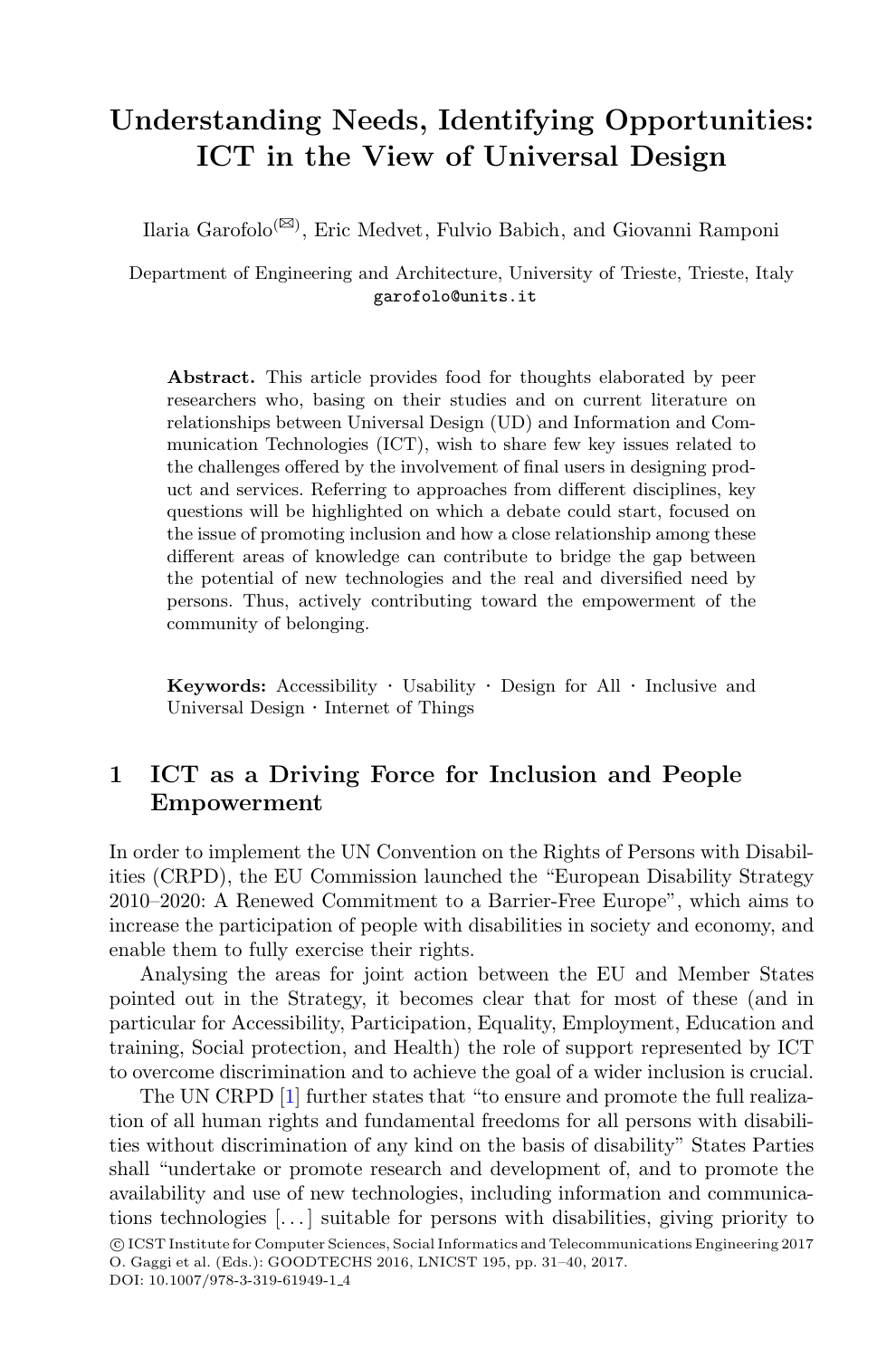# **Understanding Needs, Identifying Opportunities: ICT in the View of Universal Design**

Ilaria Garofolo<br/>( $^{\text{\textregistered}}$ ), Eric Medvet, Fulvio Babich, and Giovanni Ramponi

Department of Engineering and Architecture, University of Trieste, Trieste, Italy garofolo@units.it

**Abstract.** This article provides food for thoughts elaborated by peer researchers who, basing on their studies and on current literature on relationships between Universal Design (UD) and Information and Communication Technologies (ICT), wish to share few key issues related to the challenges offered by the involvement of final users in designing product and services. Referring to approaches from different disciplines, key questions will be highlighted on which a debate could start, focused on the issue of promoting inclusion and how a close relationship among these different areas of knowledge can contribute to bridge the gap between the potential of new technologies and the real and diversified need by persons. Thus, actively contributing toward the empowerment of the community of belonging.

**Keywords:** Accessibility *·* Usability *·* Design for All *·* Inclusive and Universal Design *·* Internet of Things

## **1 ICT as a Driving Force for Inclusion and People Empowerment**

In order to implement the UN Convention on the Rights of Persons with Disabilities (CRPD), the EU Commission launched the "European Disability Strategy 2010–2020: A Renewed Commitment to a Barrier-Free Europe", which aims to increase the participation of people with disabilities in society and economy, and enable them to fully exercise their rights.

Analysing the areas for joint action between the EU and Member States pointed out in the Strategy, it becomes clear that for most of these (and in particular for Accessibility, Participation, Equality, Employment, Education and training, Social protection, and Health) the role of support represented by ICT to overcome discrimination and to achieve the goal of a wider inclusion is crucial.

The UN CRPD [\[1\]](#page-7-0) further states that "to ensure and promote the full realization of all human rights and fundamental freedoms for all persons with disabilities without discrimination of any kind on the basis of disability" States Parties shall "undertake or promote research and development of, and to promote the availability and use of new technologies, including information and communications technologies [. . . ] suitable for persons with disabilities, giving priority to -c ICST Institute for Computer Sciences, Social Informatics and Telecommunications Engineering 2017 O. Gaggi et al. (Eds.): GOODTECHS 2016, LNICST 195, pp. 31–40, 2017. DOI: 10.1007/978-3-319-61949-1 4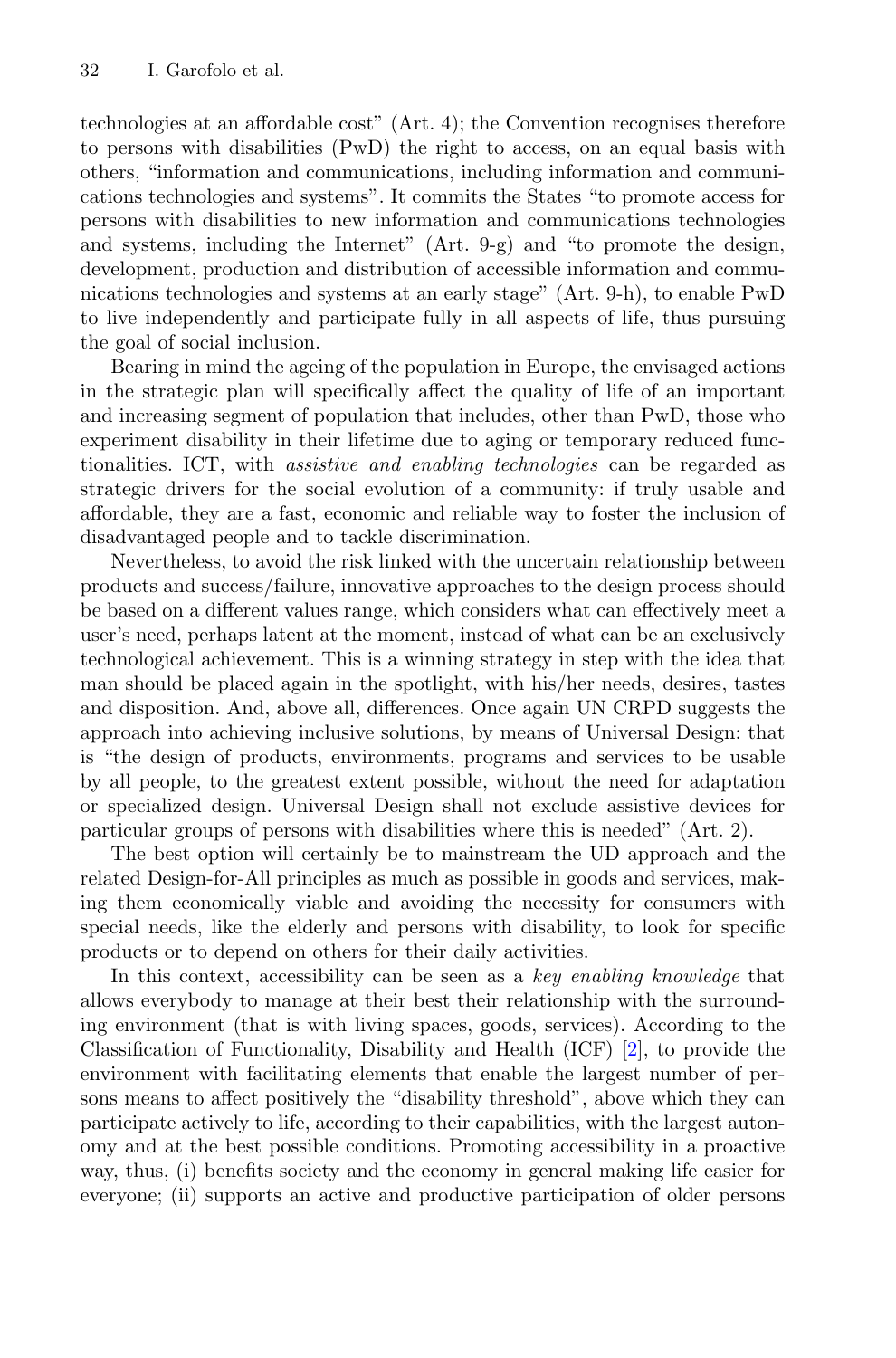technologies at an affordable cost" (Art. 4); the Convention recognises therefore to persons with disabilities (PwD) the right to access, on an equal basis with others, "information and communications, including information and communications technologies and systems". It commits the States "to promote access for persons with disabilities to new information and communications technologies and systems, including the Internet" (Art. 9-g) and "to promote the design, development, production and distribution of accessible information and communications technologies and systems at an early stage" (Art. 9-h), to enable PwD to live independently and participate fully in all aspects of life, thus pursuing the goal of social inclusion.

Bearing in mind the ageing of the population in Europe, the envisaged actions in the strategic plan will specifically affect the quality of life of an important and increasing segment of population that includes, other than PwD, those who experiment disability in their lifetime due to aging or temporary reduced functionalities. ICT, with *assistive and enabling technologies* can be regarded as strategic drivers for the social evolution of a community: if truly usable and affordable, they are a fast, economic and reliable way to foster the inclusion of disadvantaged people and to tackle discrimination.

Nevertheless, to avoid the risk linked with the uncertain relationship between products and success/failure, innovative approaches to the design process should be based on a different values range, which considers what can effectively meet a user's need, perhaps latent at the moment, instead of what can be an exclusively technological achievement. This is a winning strategy in step with the idea that man should be placed again in the spotlight, with his/her needs, desires, tastes and disposition. And, above all, differences. Once again UN CRPD suggests the approach into achieving inclusive solutions, by means of Universal Design: that is "the design of products, environments, programs and services to be usable by all people, to the greatest extent possible, without the need for adaptation or specialized design. Universal Design shall not exclude assistive devices for particular groups of persons with disabilities where this is needed" (Art. 2).

The best option will certainly be to mainstream the UD approach and the related Design-for-All principles as much as possible in goods and services, making them economically viable and avoiding the necessity for consumers with special needs, like the elderly and persons with disability, to look for specific products or to depend on others for their daily activities.

In this context, accessibility can be seen as a *key enabling knowledge* that allows everybody to manage at their best their relationship with the surrounding environment (that is with living spaces, goods, services). According to the Classification of Functionality, Disability and Health (ICF) [\[2\]](#page-7-1), to provide the environment with facilitating elements that enable the largest number of persons means to affect positively the "disability threshold", above which they can participate actively to life, according to their capabilities, with the largest autonomy and at the best possible conditions. Promoting accessibility in a proactive way, thus, (i) benefits society and the economy in general making life easier for everyone; (ii) supports an active and productive participation of older persons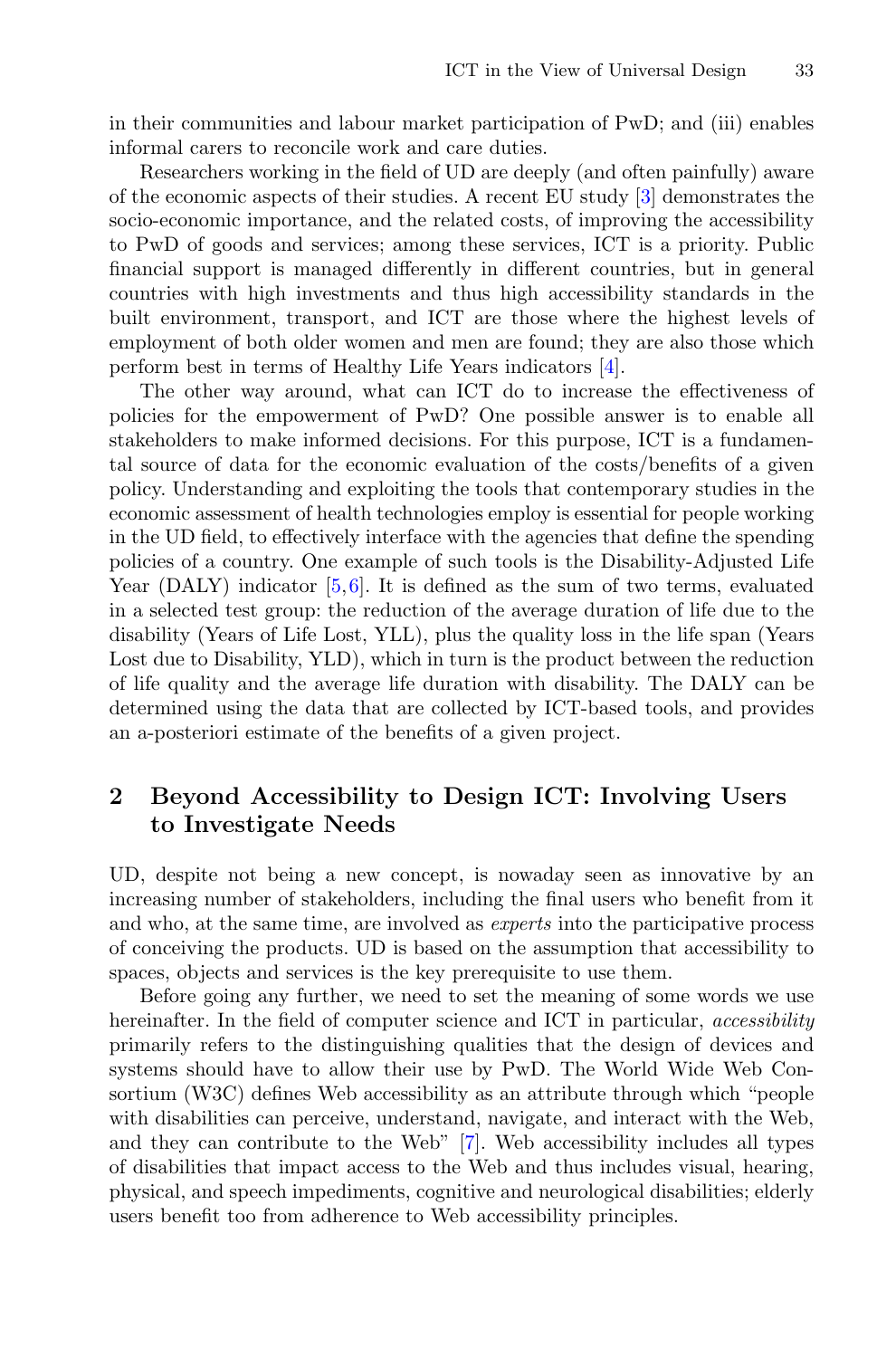in their communities and labour market participation of PwD; and (iii) enables informal carers to reconcile work and care duties.

Researchers working in the field of UD are deeply (and often painfully) aware of the economic aspects of their studies. A recent EU study [\[3](#page-7-2)] demonstrates the socio-economic importance, and the related costs, of improving the accessibility to PwD of goods and services; among these services, ICT is a priority. Public financial support is managed differently in different countries, but in general countries with high investments and thus high accessibility standards in the built environment, transport, and ICT are those where the highest levels of employment of both older women and men are found; they are also those which perform best in terms of Healthy Life Years indicators [\[4](#page-8-0)].

The other way around, what can ICT do to increase the effectiveness of policies for the empowerment of PwD? One possible answer is to enable all stakeholders to make informed decisions. For this purpose, ICT is a fundamental source of data for the economic evaluation of the costs/benefits of a given policy. Understanding and exploiting the tools that contemporary studies in the economic assessment of health technologies employ is essential for people working in the UD field, to effectively interface with the agencies that define the spending policies of a country. One example of such tools is the Disability-Adjusted Life Year (DALY) indicator [\[5](#page-8-1)[,6](#page-8-2)]. It is defined as the sum of two terms, evaluated in a selected test group: the reduction of the average duration of life due to the disability (Years of Life Lost, YLL), plus the quality loss in the life span (Years Lost due to Disability, YLD), which in turn is the product between the reduction of life quality and the average life duration with disability. The DALY can be determined using the data that are collected by ICT-based tools, and provides an a-posteriori estimate of the benefits of a given project.

## **2 Beyond Accessibility to Design ICT: Involving Users to Investigate Needs**

UD, despite not being a new concept, is nowaday seen as innovative by an increasing number of stakeholders, including the final users who benefit from it and who, at the same time, are involved as *experts* into the participative process of conceiving the products. UD is based on the assumption that accessibility to spaces, objects and services is the key prerequisite to use them.

Before going any further, we need to set the meaning of some words we use hereinafter. In the field of computer science and ICT in particular, *accessibility* primarily refers to the distinguishing qualities that the design of devices and systems should have to allow their use by PwD. The World Wide Web Consortium (W3C) defines Web accessibility as an attribute through which "people with disabilities can perceive, understand, navigate, and interact with the Web, and they can contribute to the Web" [\[7](#page-8-3)]. Web accessibility includes all types of disabilities that impact access to the Web and thus includes visual, hearing, physical, and speech impediments, cognitive and neurological disabilities; elderly users benefit too from adherence to Web accessibility principles.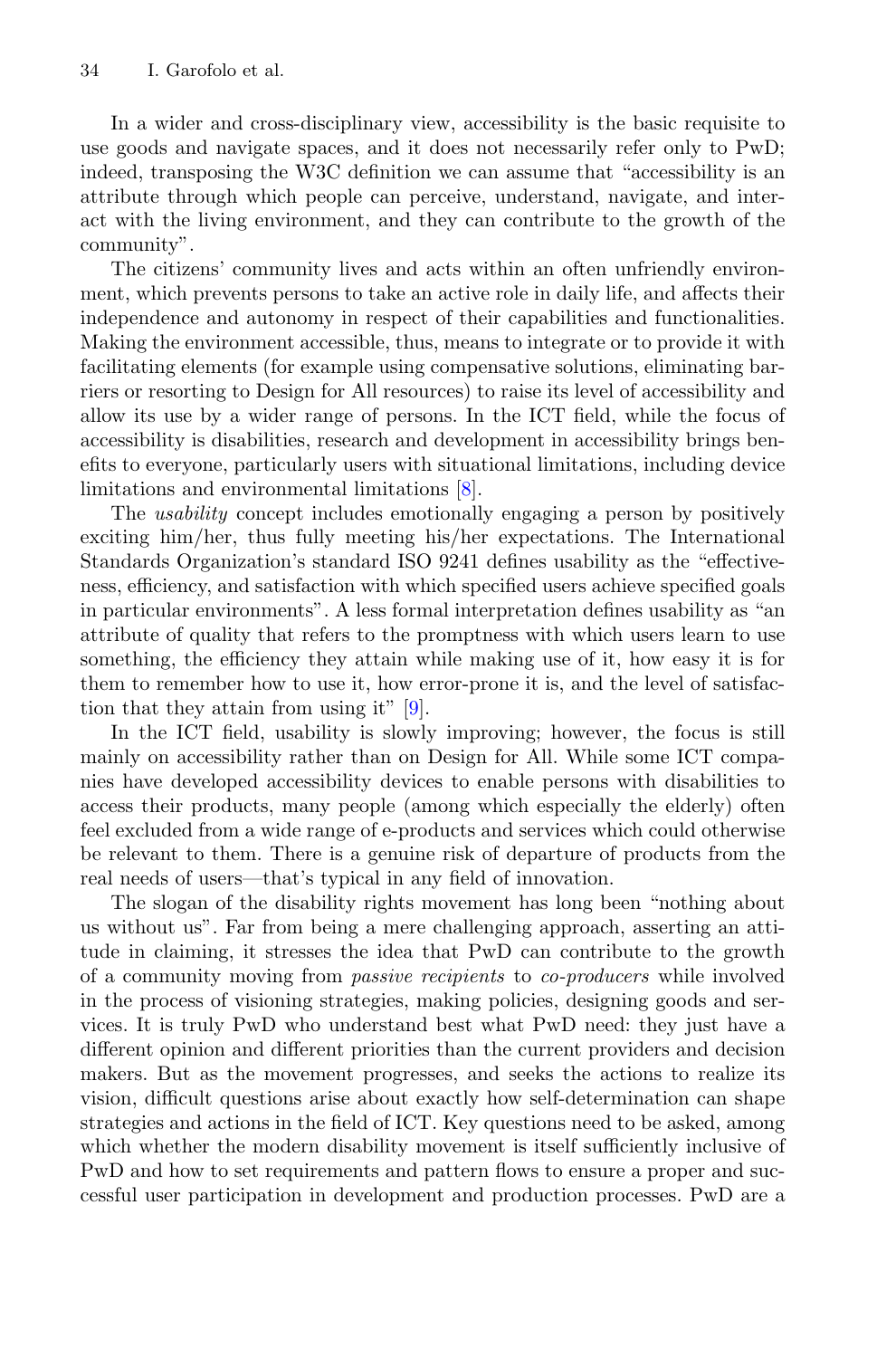In a wider and cross-disciplinary view, accessibility is the basic requisite to use goods and navigate spaces, and it does not necessarily refer only to PwD; indeed, transposing the W3C definition we can assume that "accessibility is an attribute through which people can perceive, understand, navigate, and interact with the living environment, and they can contribute to the growth of the community".

The citizens' community lives and acts within an often unfriendly environment, which prevents persons to take an active role in daily life, and affects their independence and autonomy in respect of their capabilities and functionalities. Making the environment accessible, thus, means to integrate or to provide it with facilitating elements (for example using compensative solutions, eliminating barriers or resorting to Design for All resources) to raise its level of accessibility and allow its use by a wider range of persons. In the ICT field, while the focus of accessibility is disabilities, research and development in accessibility brings benefits to everyone, particularly users with situational limitations, including device limitations and environmental limitations [\[8](#page-8-4)].

The *usability* concept includes emotionally engaging a person by positively exciting him/her, thus fully meeting his/her expectations. The International Standards Organization's standard ISO 9241 defines usability as the "effectiveness, efficiency, and satisfaction with which specified users achieve specified goals in particular environments". A less formal interpretation defines usability as "an attribute of quality that refers to the promptness with which users learn to use something, the efficiency they attain while making use of it, how easy it is for them to remember how to use it, how error-prone it is, and the level of satisfaction that they attain from using it" [\[9\]](#page-8-5).

In the ICT field, usability is slowly improving; however, the focus is still mainly on accessibility rather than on Design for All. While some ICT companies have developed accessibility devices to enable persons with disabilities to access their products, many people (among which especially the elderly) often feel excluded from a wide range of e-products and services which could otherwise be relevant to them. There is a genuine risk of departure of products from the real needs of users—that's typical in any field of innovation.

The slogan of the disability rights movement has long been "nothing about us without us". Far from being a mere challenging approach, asserting an attitude in claiming, it stresses the idea that PwD can contribute to the growth of a community moving from *passive recipients* to *co-producers* while involved in the process of visioning strategies, making policies, designing goods and services. It is truly PwD who understand best what PwD need: they just have a different opinion and different priorities than the current providers and decision makers. But as the movement progresses, and seeks the actions to realize its vision, difficult questions arise about exactly how self-determination can shape strategies and actions in the field of ICT. Key questions need to be asked, among which whether the modern disability movement is itself sufficiently inclusive of PwD and how to set requirements and pattern flows to ensure a proper and successful user participation in development and production processes. PwD are a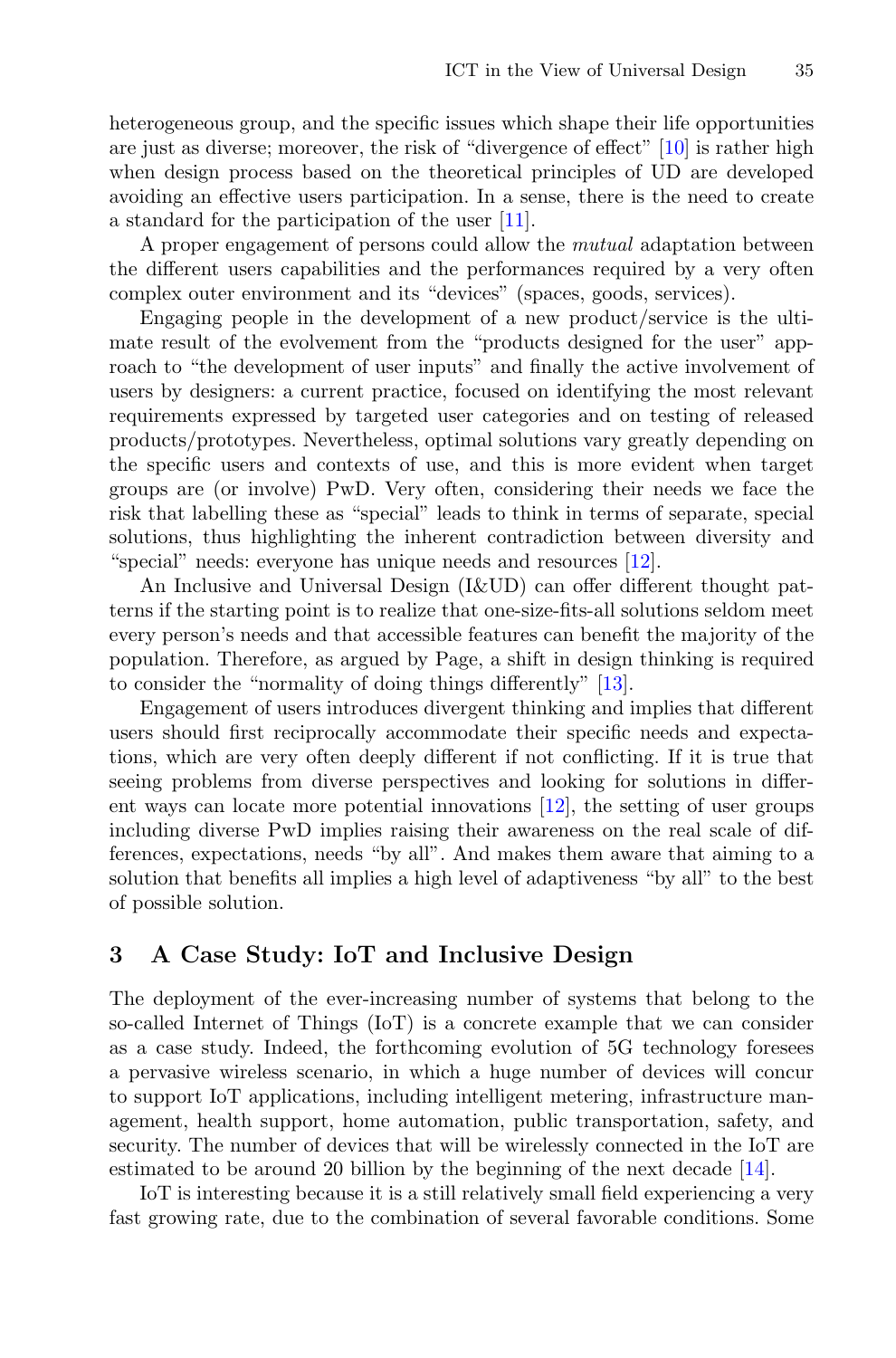heterogeneous group, and the specific issues which shape their life opportunities are just as diverse; moreover, the risk of "divergence of effect" [\[10\]](#page-8-6) is rather high when design process based on the theoretical principles of UD are developed avoiding an effective users participation. In a sense, there is the need to create a standard for the participation of the user [\[11](#page-8-7)].

A proper engagement of persons could allow the *mutual* adaptation between the different users capabilities and the performances required by a very often complex outer environment and its "devices" (spaces, goods, services).

Engaging people in the development of a new product/service is the ultimate result of the evolvement from the "products designed for the user" approach to "the development of user inputs" and finally the active involvement of users by designers: a current practice, focused on identifying the most relevant requirements expressed by targeted user categories and on testing of released products/prototypes. Nevertheless, optimal solutions vary greatly depending on the specific users and contexts of use, and this is more evident when target groups are (or involve) PwD. Very often, considering their needs we face the risk that labelling these as "special" leads to think in terms of separate, special solutions, thus highlighting the inherent contradiction between diversity and "special" needs: everyone has unique needs and resources [\[12](#page-8-8)].

An Inclusive and Universal Design (I&UD) can offer different thought patterns if the starting point is to realize that one-size-fits-all solutions seldom meet every person's needs and that accessible features can benefit the majority of the population. Therefore, as argued by Page, a shift in design thinking is required to consider the "normality of doing things differently" [\[13\]](#page-8-9).

Engagement of users introduces divergent thinking and implies that different users should first reciprocally accommodate their specific needs and expectations, which are very often deeply different if not conflicting. If it is true that seeing problems from diverse perspectives and looking for solutions in different ways can locate more potential innovations [\[12](#page-8-8)], the setting of user groups including diverse PwD implies raising their awareness on the real scale of differences, expectations, needs "by all". And makes them aware that aiming to a solution that benefits all implies a high level of adaptiveness "by all" to the best of possible solution.

### **3 A Case Study: IoT and Inclusive Design**

The deployment of the ever-increasing number of systems that belong to the so-called Internet of Things (IoT) is a concrete example that we can consider as a case study. Indeed, the forthcoming evolution of 5G technology foresees a pervasive wireless scenario, in which a huge number of devices will concur to support IoT applications, including intelligent metering, infrastructure management, health support, home automation, public transportation, safety, and security. The number of devices that will be wirelessly connected in the IoT are estimated to be around 20 billion by the beginning of the next decade [\[14](#page-8-10)].

IoT is interesting because it is a still relatively small field experiencing a very fast growing rate, due to the combination of several favorable conditions. Some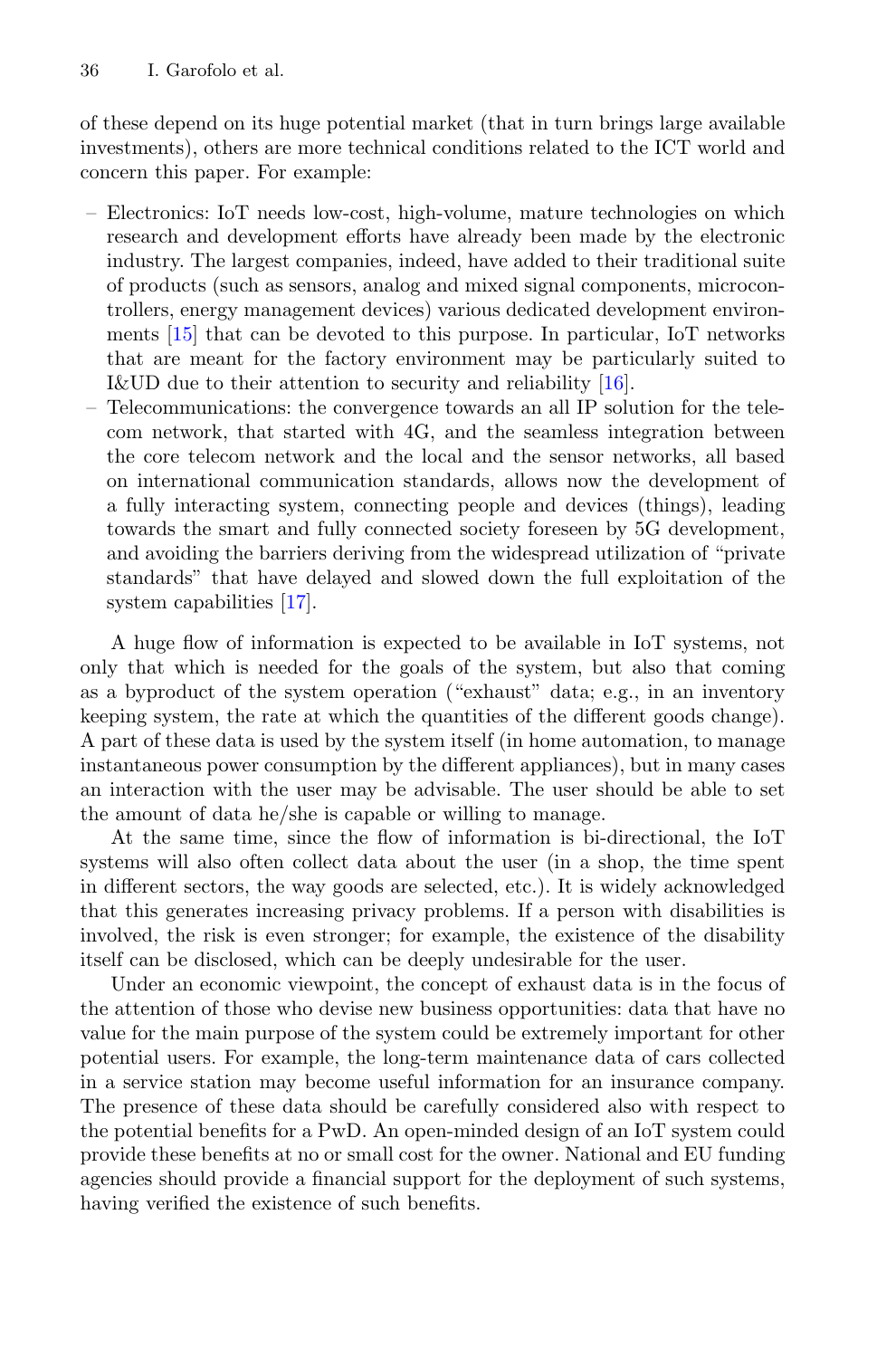of these depend on its huge potential market (that in turn brings large available investments), others are more technical conditions related to the ICT world and concern this paper. For example:

- Electronics: IoT needs low-cost, high-volume, mature technologies on which research and development efforts have already been made by the electronic industry. The largest companies, indeed, have added to their traditional suite of products (such as sensors, analog and mixed signal components, microcontrollers, energy management devices) various dedicated development environments [\[15](#page-8-11)] that can be devoted to this purpose. In particular, IoT networks that are meant for the factory environment may be particularly suited to I&UD due to their attention to security and reliability [\[16](#page-8-12)].
- Telecommunications: the convergence towards an all IP solution for the telecom network, that started with 4G, and the seamless integration between the core telecom network and the local and the sensor networks, all based on international communication standards, allows now the development of a fully interacting system, connecting people and devices (things), leading towards the smart and fully connected society foreseen by 5G development, and avoiding the barriers deriving from the widespread utilization of "private standards" that have delayed and slowed down the full exploitation of the system capabilities [\[17](#page-8-13)].

A huge flow of information is expected to be available in IoT systems, not only that which is needed for the goals of the system, but also that coming as a byproduct of the system operation ("exhaust" data; e.g., in an inventory keeping system, the rate at which the quantities of the different goods change). A part of these data is used by the system itself (in home automation, to manage instantaneous power consumption by the different appliances), but in many cases an interaction with the user may be advisable. The user should be able to set the amount of data he/she is capable or willing to manage.

At the same time, since the flow of information is bi-directional, the IoT systems will also often collect data about the user (in a shop, the time spent in different sectors, the way goods are selected, etc.). It is widely acknowledged that this generates increasing privacy problems. If a person with disabilities is involved, the risk is even stronger; for example, the existence of the disability itself can be disclosed, which can be deeply undesirable for the user.

Under an economic viewpoint, the concept of exhaust data is in the focus of the attention of those who devise new business opportunities: data that have no value for the main purpose of the system could be extremely important for other potential users. For example, the long-term maintenance data of cars collected in a service station may become useful information for an insurance company. The presence of these data should be carefully considered also with respect to the potential benefits for a PwD. An open-minded design of an IoT system could provide these benefits at no or small cost for the owner. National and EU funding agencies should provide a financial support for the deployment of such systems, having verified the existence of such benefits.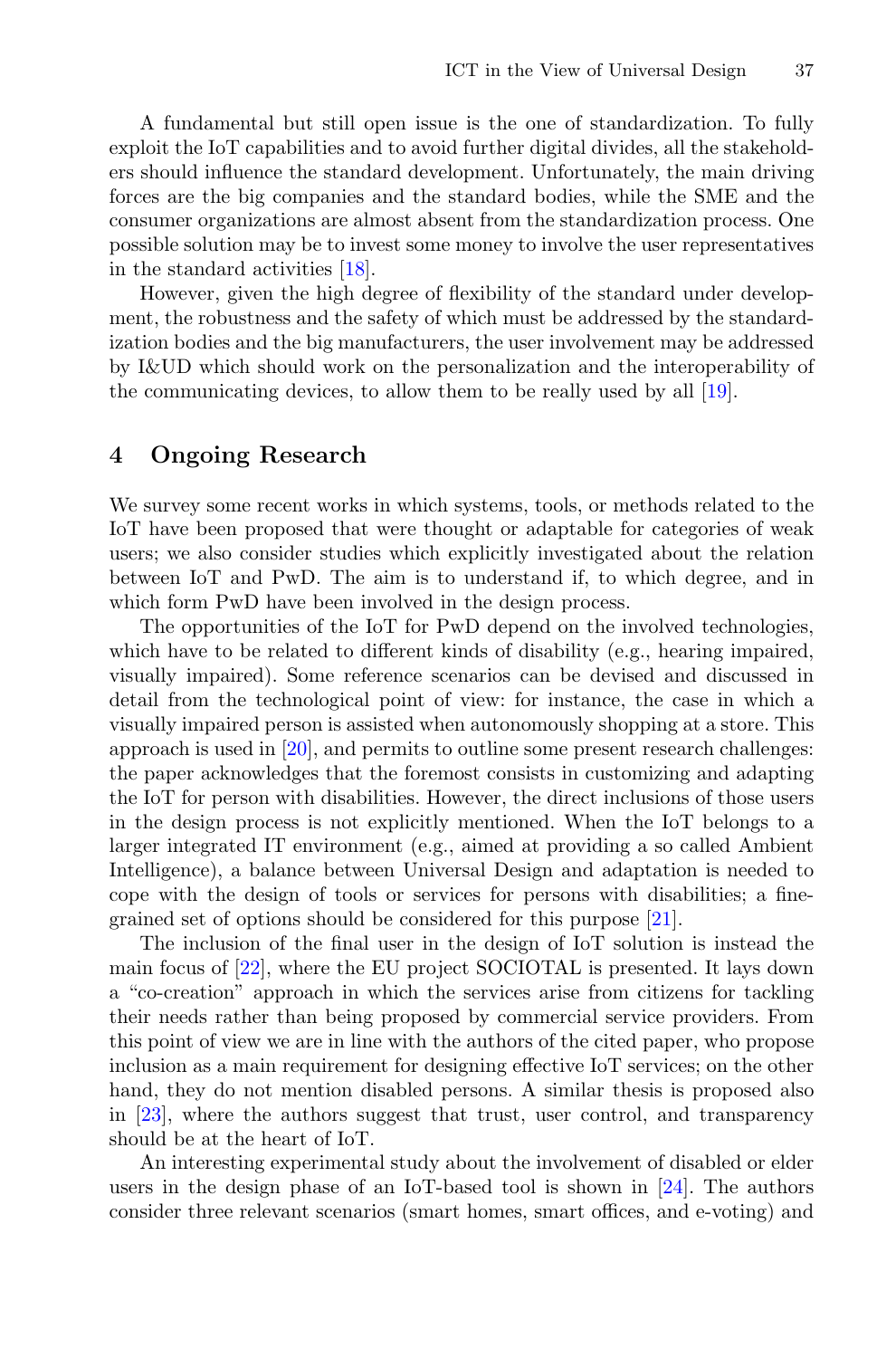A fundamental but still open issue is the one of standardization. To fully exploit the IoT capabilities and to avoid further digital divides, all the stakeholders should influence the standard development. Unfortunately, the main driving forces are the big companies and the standard bodies, while the SME and the consumer organizations are almost absent from the standardization process. One possible solution may be to invest some money to involve the user representatives in the standard activities [\[18](#page-8-14)].

However, given the high degree of flexibility of the standard under development, the robustness and the safety of which must be addressed by the standardization bodies and the big manufacturers, the user involvement may be addressed by I&UD which should work on the personalization and the interoperability of the communicating devices, to allow them to be really used by all [\[19\]](#page-8-15).

#### **4 Ongoing Research**

We survey some recent works in which systems, tools, or methods related to the IoT have been proposed that were thought or adaptable for categories of weak users; we also consider studies which explicitly investigated about the relation between IoT and PwD. The aim is to understand if, to which degree, and in which form PwD have been involved in the design process.

The opportunities of the IoT for PwD depend on the involved technologies, which have to be related to different kinds of disability (e.g., hearing impaired, visually impaired). Some reference scenarios can be devised and discussed in detail from the technological point of view: for instance, the case in which a visually impaired person is assisted when autonomously shopping at a store. This approach is used in [\[20\]](#page-8-16), and permits to outline some present research challenges: the paper acknowledges that the foremost consists in customizing and adapting the IoT for person with disabilities. However, the direct inclusions of those users in the design process is not explicitly mentioned. When the IoT belongs to a larger integrated IT environment (e.g., aimed at providing a so called Ambient Intelligence), a balance between Universal Design and adaptation is needed to cope with the design of tools or services for persons with disabilities; a finegrained set of options should be considered for this purpose [\[21\]](#page-8-17).

The inclusion of the final user in the design of IoT solution is instead the main focus of [\[22\]](#page-8-18), where the EU project SOCIOTAL is presented. It lays down a "co-creation" approach in which the services arise from citizens for tackling their needs rather than being proposed by commercial service providers. From this point of view we are in line with the authors of the cited paper, who propose inclusion as a main requirement for designing effective IoT services; on the other hand, they do not mention disabled persons. A similar thesis is proposed also in [\[23](#page-9-0)], where the authors suggest that trust, user control, and transparency should be at the heart of IoT.

An interesting experimental study about the involvement of disabled or elder users in the design phase of an IoT-based tool is shown in [\[24](#page-9-1)]. The authors consider three relevant scenarios (smart homes, smart offices, and e-voting) and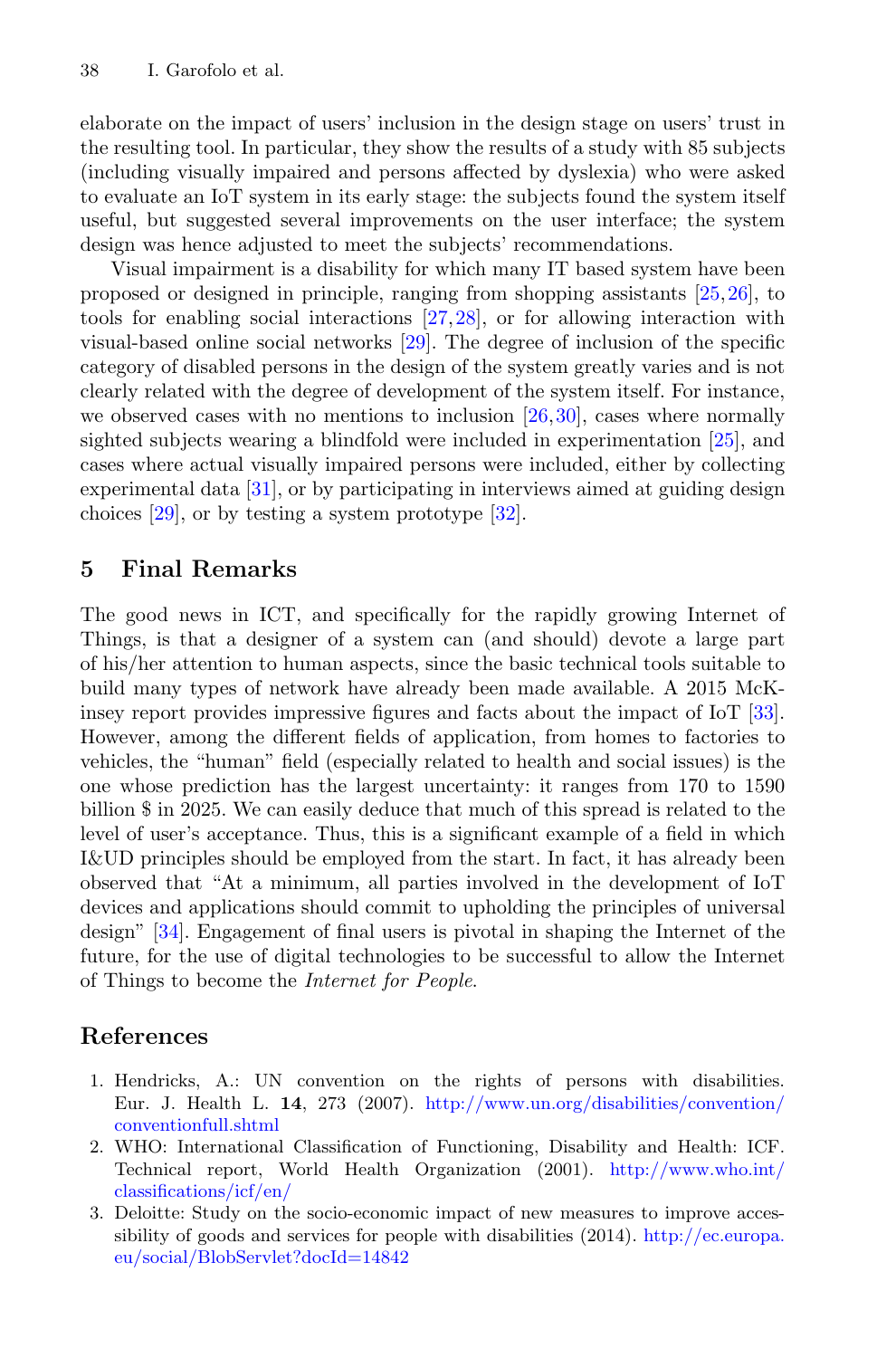elaborate on the impact of users' inclusion in the design stage on users' trust in the resulting tool. In particular, they show the results of a study with 85 subjects (including visually impaired and persons affected by dyslexia) who were asked to evaluate an IoT system in its early stage: the subjects found the system itself useful, but suggested several improvements on the user interface; the system design was hence adjusted to meet the subjects' recommendations.

Visual impairment is a disability for which many IT based system have been proposed or designed in principle, ranging from shopping assistants [\[25](#page-9-2)[,26](#page-9-3)], to tools for enabling social interactions [\[27,](#page-9-4)[28](#page-9-5)], or for allowing interaction with visual-based online social networks [\[29\]](#page-9-6). The degree of inclusion of the specific category of disabled persons in the design of the system greatly varies and is not clearly related with the degree of development of the system itself. For instance, we observed cases with no mentions to inclusion  $[26,30]$  $[26,30]$  $[26,30]$ , cases where normally sighted subjects wearing a blindfold were included in experimentation [\[25](#page-9-2)], and cases where actual visually impaired persons were included, either by collecting experimental data [\[31](#page-9-8)], or by participating in interviews aimed at guiding design choices [\[29\]](#page-9-6), or by testing a system prototype [\[32](#page-9-9)].

## **5 Final Remarks**

The good news in ICT, and specifically for the rapidly growing Internet of Things, is that a designer of a system can (and should) devote a large part of his/her attention to human aspects, since the basic technical tools suitable to build many types of network have already been made available. A 2015 McKinsey report provides impressive figures and facts about the impact of IoT [\[33\]](#page-9-10). However, among the different fields of application, from homes to factories to vehicles, the "human" field (especially related to health and social issues) is the one whose prediction has the largest uncertainty: it ranges from 170 to 1590 billion \$ in 2025. We can easily deduce that much of this spread is related to the level of user's acceptance. Thus, this is a significant example of a field in which I&UD principles should be employed from the start. In fact, it has already been observed that "At a minimum, all parties involved in the development of IoT devices and applications should commit to upholding the principles of universal design" [\[34\]](#page-9-11). Engagement of final users is pivotal in shaping the Internet of the future, for the use of digital technologies to be successful to allow the Internet of Things to become the *Internet for People*.

## <span id="page-7-0"></span>**References**

- 1. Hendricks, A.: UN convention on the rights of persons with disabilities. Eur. J. Health L. **14**, 273 (2007). [http://www.un.org/disabilities/convention/](http://www.un.org/disabilities/convention/conventionfull.shtml) [conventionfull.shtml](http://www.un.org/disabilities/convention/conventionfull.shtml)
- <span id="page-7-1"></span>2. WHO: International Classification of Functioning, Disability and Health: ICF. Technical report, World Health Organization (2001). [http://www.who.int/](http://www.who.int/classifications/icf/en/) [classifications/icf/en/](http://www.who.int/classifications/icf/en/)
- <span id="page-7-2"></span>3. Deloitte: Study on the socio-economic impact of new measures to improve accessibility of goods and services for people with disabilities  $(2014)$ . [http://ec.europa.](http://ec.europa.eu/social/BlobServlet?docId=14842) [eu/social/BlobServlet?docId=14842](http://ec.europa.eu/social/BlobServlet?docId=14842)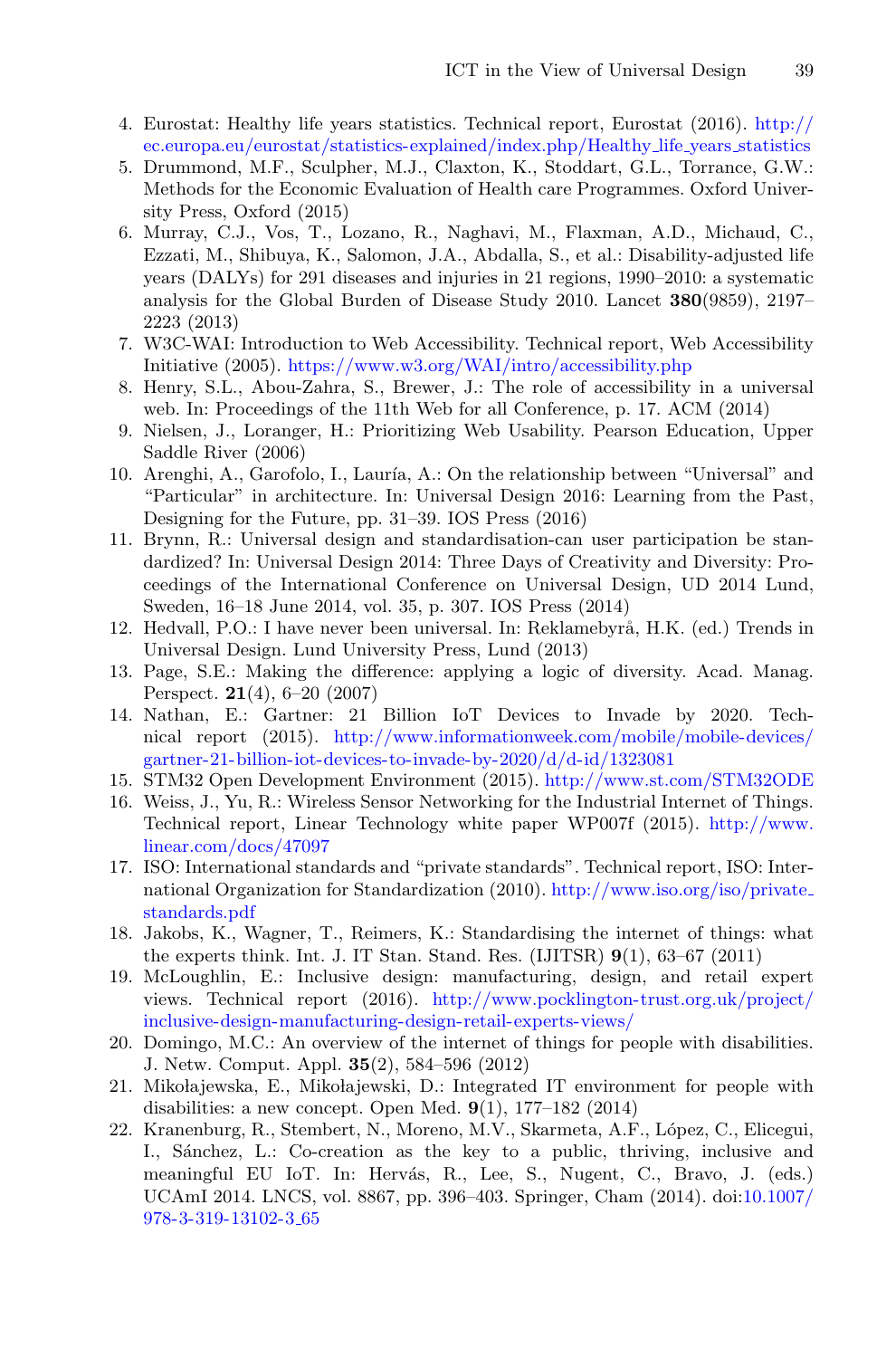- <span id="page-8-0"></span>4. Eurostat: Healthy life years statistics. Technical report, Eurostat (2016). [http://](http://ec.europa.eu/eurostat/statistics-explained/index.php/Healthy_life_years_statistics) [ec.europa.eu/eurostat/statistics-explained/index.php/Healthy](http://ec.europa.eu/eurostat/statistics-explained/index.php/Healthy_life_years_statistics) life years statistics
- <span id="page-8-1"></span>5. Drummond, M.F., Sculpher, M.J., Claxton, K., Stoddart, G.L., Torrance, G.W.: Methods for the Economic Evaluation of Health care Programmes. Oxford University Press, Oxford (2015)
- <span id="page-8-2"></span>6. Murray, C.J., Vos, T., Lozano, R., Naghavi, M., Flaxman, A.D., Michaud, C., Ezzati, M., Shibuya, K., Salomon, J.A., Abdalla, S., et al.: Disability-adjusted life years (DALYs) for 291 diseases and injuries in 21 regions, 1990–2010: a systematic analysis for the Global Burden of Disease Study 2010. Lancet **380**(9859), 2197– 2223 (2013)
- <span id="page-8-3"></span>7. W3C-WAI: Introduction to Web Accessibility. Technical report, Web Accessibility Initiative (2005). <https://www.w3.org/WAI/intro/accessibility.php>
- <span id="page-8-4"></span>8. Henry, S.L., Abou-Zahra, S., Brewer, J.: The role of accessibility in a universal web. In: Proceedings of the 11th Web for all Conference, p. 17. ACM (2014)
- <span id="page-8-5"></span>9. Nielsen, J., Loranger, H.: Prioritizing Web Usability. Pearson Education, Upper Saddle River (2006)
- <span id="page-8-6"></span>10. Arenghi, A., Garofolo, I., Lauría, A.: On the relationship between "Universal" and "Particular" in architecture. In: Universal Design 2016: Learning from the Past, Designing for the Future, pp. 31–39. IOS Press (2016)
- <span id="page-8-7"></span>11. Brynn, R.: Universal design and standardisation-can user participation be standardized? In: Universal Design 2014: Three Days of Creativity and Diversity: Proceedings of the International Conference on Universal Design, UD 2014 Lund, Sweden, 16–18 June 2014, vol. 35, p. 307. IOS Press (2014)
- <span id="page-8-8"></span>12. Hedvall, P.O.: I have never been universal. In: Reklamebyrå, H.K. (ed.) Trends in Universal Design. Lund University Press, Lund (2013)
- <span id="page-8-9"></span>13. Page, S.E.: Making the difference: applying a logic of diversity. Acad. Manag. Perspect. **21**(4), 6–20 (2007)
- <span id="page-8-10"></span>14. Nathan, E.: Gartner: 21 Billion IoT Devices to Invade by 2020. Technical report (2015). [http://www.informationweek.com/mobile/mobile-devices/](http://www.informationweek.com/mobile/mobile-devices/gartner-21-billion-iot-devices-to-invade-by-2020/d/d-id/1323081) [gartner-21-billion-iot-devices-to-invade-by-2020/d/d-id/1323081](http://www.informationweek.com/mobile/mobile-devices/gartner-21-billion-iot-devices-to-invade-by-2020/d/d-id/1323081)
- <span id="page-8-11"></span>15. STM32 Open Development Environment (2015). <http://www.st.com/STM32ODE>
- <span id="page-8-12"></span>16. Weiss, J., Yu, R.: Wireless Sensor Networking for the Industrial Internet of Things. Technical report, Linear Technology white paper WP007f (2015). [http://www.](http://www.linear.com/docs/47097) [linear.com/docs/47097](http://www.linear.com/docs/47097)
- <span id="page-8-13"></span>17. ISO: International standards and "private standards". Technical report, ISO: International Organization for Standardization (2010). [http://www.iso.org/iso/private](http://www.iso.org/iso/private_standards.pdf) [standards.pdf](http://www.iso.org/iso/private_standards.pdf)
- <span id="page-8-14"></span>18. Jakobs, K., Wagner, T., Reimers, K.: Standardising the internet of things: what the experts think. Int. J. IT Stan. Stand. Res. (IJITSR) **9**(1), 63–67 (2011)
- <span id="page-8-15"></span>19. McLoughlin, E.: Inclusive design: manufacturing, design, and retail expert views. Technical report (2016). [http://www.pocklington-trust.org.uk/project/](http://www.pocklington-trust.org.uk/project/inclusive-design-manufacturing-design-retail-experts-views/) [inclusive-design-manufacturing-design-retail-experts-views/](http://www.pocklington-trust.org.uk/project/inclusive-design-manufacturing-design-retail-experts-views/)
- <span id="page-8-16"></span>20. Domingo, M.C.: An overview of the internet of things for people with disabilities. J. Netw. Comput. Appl. **35**(2), 584–596 (2012)
- <span id="page-8-17"></span>21. Mikolajewska, E., Mikolajewski, D.: Integrated IT environment for people with disabilities: a new concept. Open Med. **9**(1), 177–182 (2014)
- <span id="page-8-18"></span>22. Kranenburg, R., Stembert, N., Moreno, M.V., Skarmeta, A.F., López, C., Elicegui, I., Sánchez, L.: Co-creation as the key to a public, thriving, inclusive and meaningful EU IoT. In: Hervás, R., Lee, S., Nugent, C., Bravo, J. (eds.) UCAmI 2014. LNCS, vol. 8867, pp. 396–403. Springer, Cham (2014). doi[:10.1007/](http://dx.doi.org/10.1007/978-3-319-13102-3_65) [978-3-319-13102-3](http://dx.doi.org/10.1007/978-3-319-13102-3_65) 65